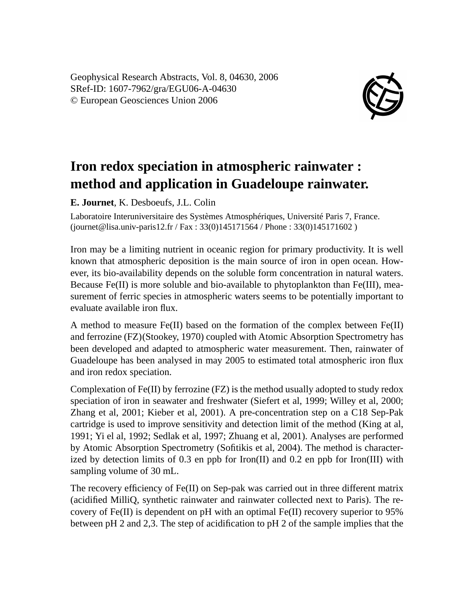Geophysical Research Abstracts, Vol. 8, 04630, 2006 SRef-ID: 1607-7962/gra/EGU06-A-04630 © European Geosciences Union 2006



## **Iron redox speciation in atmospheric rainwater : method and application in Guadeloupe rainwater.**

**E. Journet**, K. Desboeufs, J.L. Colin

Laboratoire Interuniversitaire des Systèmes Atmosphériques, Université Paris 7, France. (journet@lisa.univ-paris12.fr / Fax : 33(0)145171564 / Phone : 33(0)145171602 )

Iron may be a limiting nutrient in oceanic region for primary productivity. It is well known that atmospheric deposition is the main source of iron in open ocean. However, its bio-availability depends on the soluble form concentration in natural waters. Because Fe(II) is more soluble and bio-available to phytoplankton than Fe(III), measurement of ferric species in atmospheric waters seems to be potentially important to evaluate available iron flux.

A method to measure  $Fe(II)$  based on the formation of the complex between  $Fe(II)$ and ferrozine (FZ)(Stookey, 1970) coupled with Atomic Absorption Spectrometry has been developed and adapted to atmospheric water measurement. Then, rainwater of Guadeloupe has been analysed in may 2005 to estimated total atmospheric iron flux and iron redox speciation.

Complexation of  $Fe(II)$  by ferrozine  $(FZ)$  is the method usually adopted to study redox speciation of iron in seawater and freshwater (Siefert et al, 1999; Willey et al, 2000; Zhang et al, 2001; Kieber et al, 2001). A pre-concentration step on a C18 Sep-Pak cartridge is used to improve sensitivity and detection limit of the method (King at al, 1991; Yi el al, 1992; Sedlak et al, 1997; Zhuang et al, 2001). Analyses are performed by Atomic Absorption Spectrometry (Sofitikis et al, 2004). The method is characterized by detection limits of 0.3 en ppb for  $\text{Iron(II)}$  and 0.2 en ppb for  $\text{Iron(III)}$  with sampling volume of 30 mL.

The recovery efficiency of Fe(II) on Sep-pak was carried out in three different matrix (acidified MilliQ, synthetic rainwater and rainwater collected next to Paris). The recovery of Fe(II) is dependent on pH with an optimal Fe(II) recovery superior to 95% between pH 2 and 2,3. The step of acidification to pH 2 of the sample implies that the